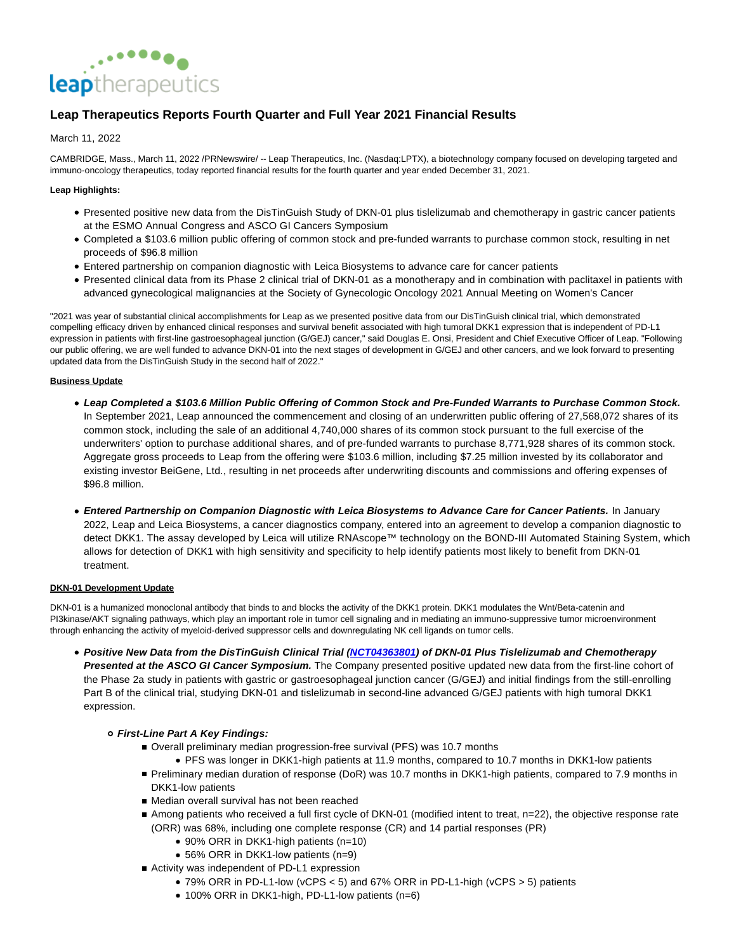

# **Leap Therapeutics Reports Fourth Quarter and Full Year 2021 Financial Results**

# March 11, 2022

CAMBRIDGE, Mass., March 11, 2022 /PRNewswire/ -- Leap Therapeutics, Inc. (Nasdaq:LPTX), a biotechnology company focused on developing targeted and immuno-oncology therapeutics, today reported financial results for the fourth quarter and year ended December 31, 2021.

# **Leap Highlights:**

- Presented positive new data from the DisTinGuish Study of DKN-01 plus tislelizumab and chemotherapy in gastric cancer patients at the ESMO Annual Congress and ASCO GI Cancers Symposium
- Completed a \$103.6 million public offering of common stock and pre-funded warrants to purchase common stock, resulting in net proceeds of \$96.8 million
- Entered partnership on companion diagnostic with Leica Biosystems to advance care for cancer patients
- Presented clinical data from its Phase 2 clinical trial of DKN-01 as a monotherapy and in combination with paclitaxel in patients with advanced gynecological malignancies at the Society of Gynecologic Oncology 2021 Annual Meeting on Women's Cancer

"2021 was year of substantial clinical accomplishments for Leap as we presented positive data from our DisTinGuish clinical trial, which demonstrated compelling efficacy driven by enhanced clinical responses and survival benefit associated with high tumoral DKK1 expression that is independent of PD-L1 expression in patients with first-line gastroesophageal junction (G/GEJ) cancer," said Douglas E. Onsi, President and Chief Executive Officer of Leap. "Following our public offering, we are well funded to advance DKN-01 into the next stages of development in G/GEJ and other cancers, and we look forward to presenting updated data from the DisTinGuish Study in the second half of 2022."

# **Business Update**

- **Leap Completed a \$103.6 Million Public Offering of Common Stock and Pre-Funded Warrants to Purchase Common Stock.** In September 2021, Leap announced the commencement and closing of an underwritten public offering of 27,568,072 shares of its common stock, including the sale of an additional 4,740,000 shares of its common stock pursuant to the full exercise of the underwriters' option to purchase additional shares, and of pre-funded warrants to purchase 8,771,928 shares of its common stock. Aggregate gross proceeds to Leap from the offering were \$103.6 million, including \$7.25 million invested by its collaborator and existing investor BeiGene, Ltd., resulting in net proceeds after underwriting discounts and commissions and offering expenses of \$96.8 million.
- **Entered Partnership on Companion Diagnostic with Leica Biosystems to Advance Care for Cancer Patients.** In January 2022, Leap and Leica Biosystems, a cancer diagnostics company, entered into an agreement to develop a companion diagnostic to detect DKK1. The assay developed by Leica will utilize RNAscope™ technology on the BOND-III Automated Staining System, which allows for detection of DKK1 with high sensitivity and specificity to help identify patients most likely to benefit from DKN-01 treatment.

#### **DKN-01 Development Update**

DKN-01 is a humanized monoclonal antibody that binds to and blocks the activity of the DKK1 protein. DKK1 modulates the Wnt/Beta-catenin and PI3kinase/AKT signaling pathways, which play an important role in tumor cell signaling and in mediating an immuno-suppressive tumor microenvironment through enhancing the activity of myeloid-derived suppressor cells and downregulating NK cell ligands on tumor cells.

**Positive New Data from the DisTinGuish Clinical Trial [\(NCT04363801\)](https://c212.net/c/link/?t=0&l=en&o=3469693-1&h=3565533678&u=https%3A%2F%2Fclinicaltrials.gov%2Fct2%2Fshow%2FNCT04363801%3Fterm%3DDKN-01%26draw%3D2%26rank%3D4&a=NCT04363801) of DKN-01 Plus Tislelizumab and Chemotherapy Presented at the ASCO GI Cancer Symposium.** The Company presented positive updated new data from the first-line cohort of the Phase 2a study in patients with gastric or gastroesophageal junction cancer (G/GEJ) and initial findings from the still-enrolling Part B of the clinical trial, studying DKN-01 and tislelizumab in second-line advanced G/GEJ patients with high tumoral DKK1 expression.

# **First-Line Part A Key Findings:**

- Overall preliminary median progression-free survival (PFS) was 10.7 months
	- PFS was longer in DKK1-high patients at 11.9 months, compared to 10.7 months in DKK1-low patients
- Preliminary median duration of response (DoR) was 10.7 months in DKK1-high patients, compared to 7.9 months in DKK1-low patients
- Median overall survival has not been reached
- Among patients who received a full first cycle of DKN-01 (modified intent to treat, n=22), the objective response rate (ORR) was 68%, including one complete response (CR) and 14 partial responses (PR)
	- 90% ORR in DKK1-high patients (n=10)
	- 56% ORR in DKK1-low patients (n=9)
- Activity was independent of PD-L1 expression
	- 79% ORR in PD-L1-low (vCPS < 5) and 67% ORR in PD-L1-high (vCPS > 5) patients
	- 100% ORR in DKK1-high, PD-L1-low patients (n=6)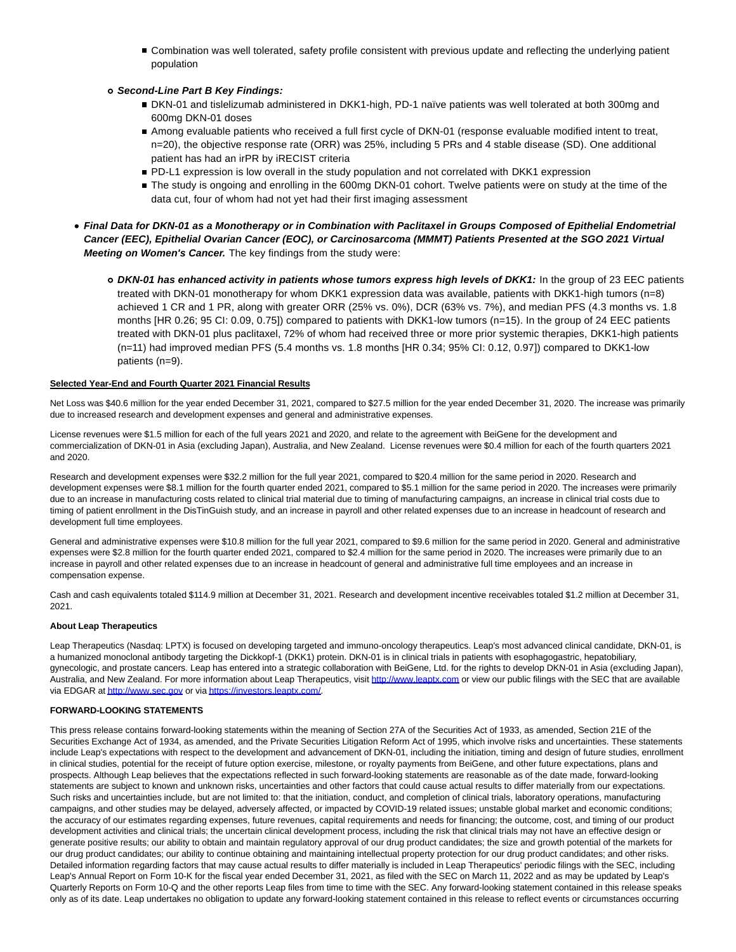- Combination was well tolerated, safety profile consistent with previous update and reflecting the underlying patient population
- **Second-Line Part B Key Findings:**
	- DKN-01 and tislelizumab administered in DKK1-high, PD-1 naïve patients was well tolerated at both 300mg and 600mg DKN-01 doses
	- Among evaluable patients who received a full first cycle of DKN-01 (response evaluable modified intent to treat, n=20), the objective response rate (ORR) was 25%, including 5 PRs and 4 stable disease (SD). One additional patient has had an irPR by iRECIST criteria
	- **PD-L1** expression is low overall in the study population and not correlated with DKK1 expression
	- The study is ongoing and enrolling in the 600mg DKN-01 cohort. Twelve patients were on study at the time of the data cut, four of whom had not yet had their first imaging assessment
- **Final Data for DKN-01 as a Monotherapy or in Combination with Paclitaxel in Groups Composed of Epithelial Endometrial Cancer (EEC), Epithelial Ovarian Cancer (EOC), or Carcinosarcoma (MMMT) Patients Presented at the SGO 2021 Virtual Meeting on Women's Cancer.** The key findings from the study were:
	- **DKN-01 has enhanced activity in patients whose tumors express high levels of DKK1:** In the group of 23 EEC patients treated with DKN-01 monotherapy for whom DKK1 expression data was available, patients with DKK1-high tumors (n=8) achieved 1 CR and 1 PR, along with greater ORR (25% vs. 0%), DCR (63% vs. 7%), and median PFS (4.3 months vs. 1.8 months [HR 0.26; 95 CI: 0.09, 0.75]) compared to patients with DKK1-low tumors (n=15). In the group of 24 EEC patients treated with DKN-01 plus paclitaxel, 72% of whom had received three or more prior systemic therapies, DKK1-high patients (n=11) had improved median PFS (5.4 months vs. 1.8 months [HR 0.34; 95% CI: 0.12, 0.97]) compared to DKK1-low patients (n=9).

#### **Selected Year-End and Fourth Quarter 2021 Financial Results**

Net Loss was \$40.6 million for the year ended December 31, 2021, compared to \$27.5 million for the year ended December 31, 2020. The increase was primarily due to increased research and development expenses and general and administrative expenses.

License revenues were \$1.5 million for each of the full years 2021 and 2020, and relate to the agreement with BeiGene for the development and commercialization of DKN-01 in Asia (excluding Japan), Australia, and New Zealand. License revenues were \$0.4 million for each of the fourth quarters 2021 and 2020.

Research and development expenses were \$32.2 million for the full year 2021, compared to \$20.4 million for the same period in 2020. Research and development expenses were \$8.1 million for the fourth quarter ended 2021, compared to \$5.1 million for the same period in 2020. The increases were primarily due to an increase in manufacturing costs related to clinical trial material due to timing of manufacturing campaigns, an increase in clinical trial costs due to timing of patient enrollment in the DisTinGuish study, and an increase in payroll and other related expenses due to an increase in headcount of research and development full time employees.

General and administrative expenses were \$10.8 million for the full year 2021, compared to \$9.6 million for the same period in 2020. General and administrative expenses were \$2.8 million for the fourth quarter ended 2021, compared to \$2.4 million for the same period in 2020. The increases were primarily due to an increase in payroll and other related expenses due to an increase in headcount of general and administrative full time employees and an increase in compensation expense.

Cash and cash equivalents totaled \$114.9 million at December 31, 2021. Research and development incentive receivables totaled \$1.2 million at December 31, 2021.

# **About Leap Therapeutics**

Leap Therapeutics (Nasdaq: LPTX) is focused on developing targeted and immuno-oncology therapeutics. Leap's most advanced clinical candidate, DKN-01, is a humanized monoclonal antibody targeting the Dickkopf-1 (DKK1) protein. DKN-01 is in clinical trials in patients with esophagogastric, hepatobiliary, gynecologic, and prostate cancers. Leap has entered into a strategic collaboration with BeiGene, Ltd. for the rights to develop DKN-01 in Asia (excluding Japan), Australia, and New Zealand. For more information about Leap Therapeutics, visi[t http://www.leaptx.com o](https://c212.net/c/link/?t=0&l=en&o=3469693-1&h=3988109836&u=http%3A%2F%2Fwww.leaptx.com%2F&a=http%3A%2F%2Fwww.leaptx.com)r view our public filings with the SEC that are available via EDGAR at [http://www.sec.gov o](https://c212.net/c/link/?t=0&l=en&o=3469693-1&h=3323761030&u=http%3A%2F%2Fwww.sec.gov%2F&a=http%3A%2F%2Fwww.sec.gov)r vi[a https://investors.leaptx.com/.](https://c212.net/c/link/?t=0&l=en&o=3469693-1&h=554804272&u=https%3A%2F%2Finvestors.leaptx.com%2F&a=https%3A%2F%2Finvestors.leaptx.com%2F)

#### **FORWARD-LOOKING STATEMENTS**

This press release contains forward-looking statements within the meaning of Section 27A of the Securities Act of 1933, as amended, Section 21E of the Securities Exchange Act of 1934, as amended, and the Private Securities Litigation Reform Act of 1995, which involve risks and uncertainties. These statements include Leap's expectations with respect to the development and advancement of DKN-01, including the initiation, timing and design of future studies, enrollment in clinical studies, potential for the receipt of future option exercise, milestone, or royalty payments from BeiGene, and other future expectations, plans and prospects. Although Leap believes that the expectations reflected in such forward-looking statements are reasonable as of the date made, forward-looking statements are subject to known and unknown risks, uncertainties and other factors that could cause actual results to differ materially from our expectations. Such risks and uncertainties include, but are not limited to: that the initiation, conduct, and completion of clinical trials, laboratory operations, manufacturing campaigns, and other studies may be delayed, adversely affected, or impacted by COVID-19 related issues; unstable global market and economic conditions; the accuracy of our estimates regarding expenses, future revenues, capital requirements and needs for financing; the outcome, cost, and timing of our product development activities and clinical trials; the uncertain clinical development process, including the risk that clinical trials may not have an effective design or generate positive results; our ability to obtain and maintain regulatory approval of our drug product candidates; the size and growth potential of the markets for our drug product candidates; our ability to continue obtaining and maintaining intellectual property protection for our drug product candidates; and other risks. Detailed information regarding factors that may cause actual results to differ materially is included in Leap Therapeutics' periodic filings with the SEC, including Leap's Annual Report on Form 10-K for the fiscal year ended December 31, 2021, as filed with the SEC on March 11, 2022 and as may be updated by Leap's Quarterly Reports on Form 10-Q and the other reports Leap files from time to time with the SEC. Any forward-looking statement contained in this release speaks only as of its date. Leap undertakes no obligation to update any forward-looking statement contained in this release to reflect events or circumstances occurring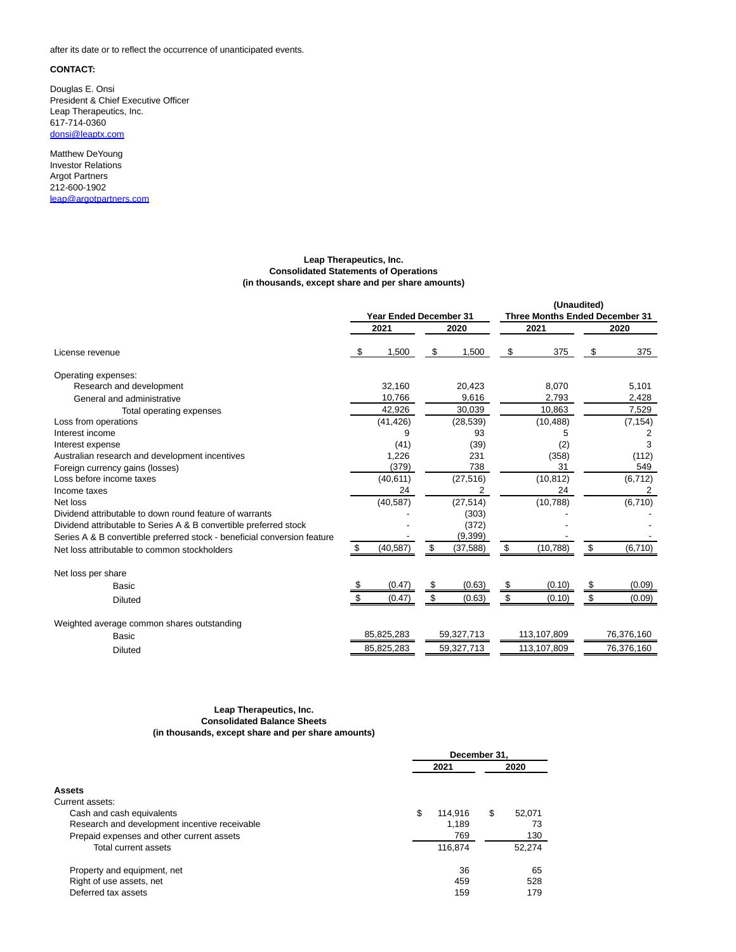after its date or to reflect the occurrence of unanticipated events.

#### **CONTACT:**

Douglas E. Onsi President & Chief Executive Officer Leap Therapeutics, Inc. 617-714-0360 [donsi@leaptx.com](mailto:donsi@leaptx.com)

Matthew DeYoung Investor Relations Argot Partners 212-600-1902 [leap@argotpartners.com](mailto:leap@argotpartners.com)

#### **Leap Therapeutics, Inc. Consolidated Statements of Operations (in thousands, except share and per share amounts)**

|                                                                          |                               |            |      |                                       |      | (Unaudited) |    |            |
|--------------------------------------------------------------------------|-------------------------------|------------|------|---------------------------------------|------|-------------|----|------------|
|                                                                          | <b>Year Ended December 31</b> |            |      | <b>Three Months Ended December 31</b> |      |             |    |            |
|                                                                          | 2020<br>2021                  |            | 2021 |                                       | 2020 |             |    |            |
| License revenue                                                          | - \$                          | 1,500      | \$   | 1,500                                 | \$   | 375         | \$ | 375        |
| Operating expenses:                                                      |                               |            |      |                                       |      |             |    |            |
| Research and development                                                 |                               | 32.160     |      | 20,423                                |      | 8,070       |    | 5,101      |
| General and administrative                                               |                               | 10,766     |      | 9,616                                 |      | 2,793       |    | 2,428      |
| Total operating expenses                                                 |                               | 42,926     |      | 30,039                                |      | 10,863      |    | 7,529      |
| Loss from operations                                                     |                               | (41, 426)  |      | (28, 539)                             |      | (10, 488)   |    | (7, 154)   |
| Interest income                                                          |                               | 9          |      | 93                                    |      | 5           |    | 2          |
| Interest expense                                                         |                               | (41)       |      | (39)                                  |      | (2)         |    | 3          |
| Australian research and development incentives                           |                               | 1.226      |      | 231                                   |      | (358)       |    | (112)      |
| Foreign currency gains (losses)                                          |                               | (379)      |      | 738                                   |      | 31          |    | 549        |
| Loss before income taxes                                                 |                               | (40, 611)  |      | (27, 516)                             |      | (10, 812)   |    | (6, 712)   |
| Income taxes                                                             |                               | 24         |      | 2                                     |      | 24          |    | 2          |
| Net loss                                                                 |                               | (40, 587)  |      | (27, 514)                             |      | (10, 788)   |    | (6, 710)   |
| Dividend attributable to down round feature of warrants                  |                               |            |      | (303)                                 |      |             |    |            |
| Dividend attributable to Series A & B convertible preferred stock        |                               |            |      | (372)                                 |      |             |    |            |
| Series A & B convertible preferred stock - beneficial conversion feature |                               |            |      | (9, 399)                              |      |             |    |            |
| Net loss attributable to common stockholders                             | S                             | (40, 587)  | \$   | (37, 588)                             | \$   | (10, 788)   | \$ | (6, 710)   |
| Net loss per share                                                       |                               |            |      |                                       |      |             |    |            |
| <b>Basic</b>                                                             |                               | (0.47)     | \$   | (0.63)                                | \$   | (0.10)      | \$ | (0.09)     |
| <b>Diluted</b>                                                           |                               | (0.47)     | \$   | (0.63)                                | \$   | (0.10)      | \$ | (0.09)     |
| Weighted average common shares outstanding                               |                               |            |      |                                       |      |             |    |            |
| <b>Basic</b>                                                             |                               | 85,825,283 |      | 59,327,713                            |      | 113,107,809 |    | 76,376,160 |
| <b>Diluted</b>                                                           |                               | 85,825,283 |      | 59,327,713                            |      | 113,107,809 |    | 76,376,160 |

#### **Leap Therapeutics, Inc. Consolidated Balance Sheets (in thousands, except share and per share amounts)**

|                                               |      |         | December 31. |        |  |
|-----------------------------------------------|------|---------|--------------|--------|--|
|                                               | 2021 |         | 2020         |        |  |
| <b>Assets</b>                                 |      |         |              |        |  |
| Current assets:                               |      |         |              |        |  |
| Cash and cash equivalents                     | \$   | 114.916 | \$           | 52,071 |  |
| Research and development incentive receivable |      | 1,189   |              | 73     |  |
| Prepaid expenses and other current assets     |      | 769     |              | 130    |  |
| Total current assets                          |      | 116,874 |              | 52.274 |  |
| Property and equipment, net                   |      | 36      |              | 65     |  |
| Right of use assets, net                      |      | 459     |              | 528    |  |
| Deferred tax assets                           |      | 159     |              | 179    |  |